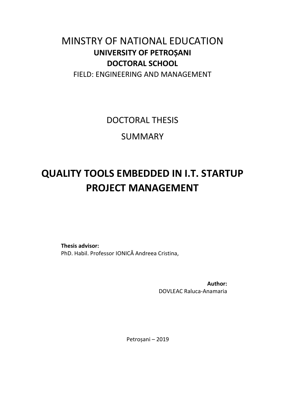## MINSTRY OF NATIONAL EDUCATION **UNIVERSITY OF PETROȘANI DOCTORAL SCHOOL**

FIELD: ENGINEERING AND MANAGEMENT

DOCTORAL THESIS

SUMMARY

# **QUALITY TOOLS EMBEDDED IN I.T. STARTUP PROJECT MANAGEMENT**

**Thesis advisor:**  PhD. Habil. Professor IONICĂ Andreea Cristina,

> **Author:**  DOVLEAC Raluca-Anamaria

Petroșani – 2019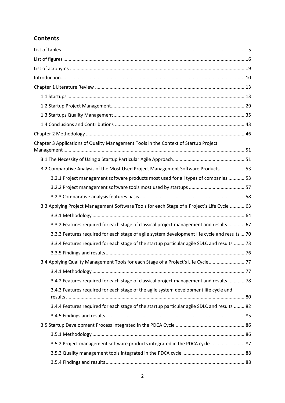### **Contents**

| Chapter 3 Applications of Quality Management Tools in the Context of Startup Project          |  |
|-----------------------------------------------------------------------------------------------|--|
|                                                                                               |  |
| 3.2 Comparative Analysis of the Most Used Project Management Software Products  53            |  |
| 3.2.1 Project management software products most used for all types of companies  53           |  |
|                                                                                               |  |
|                                                                                               |  |
| 3.3 Applying Project Management Software Tools for each Stage of a Project's Life Cycle  63   |  |
|                                                                                               |  |
| 3.3.2 Features required for each stage of classical project management and results 67         |  |
| 3.3.3 Features required for each stage of agile system development life cycle and results  70 |  |
| 3.3.4 Features required for each stage of the startup particular agile SDLC and results  73   |  |
|                                                                                               |  |
| 3.4 Applying Quality Management Tools for each Stage of a Project's Life Cycle 77             |  |
|                                                                                               |  |
| 3.4.2 Features required for each stage of classical project management and results 78         |  |
| 3.4.3 Features required for each stage of the agile system development life cycle and         |  |
| 3.4.4 Features required for each stage of the startup particular agile SDLC and results  82   |  |
|                                                                                               |  |
|                                                                                               |  |
|                                                                                               |  |
| 3.5.2 Project management software products integrated in the PDCA cycle 87                    |  |
|                                                                                               |  |
|                                                                                               |  |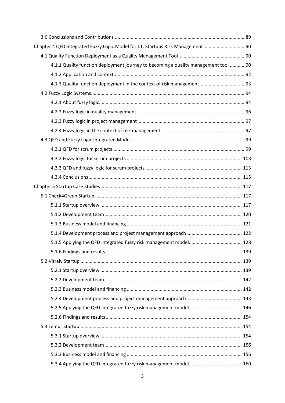| Chapter 4 QFD Integrated Fuzzy Logic Model for I.T. Startups Risk Management 90     |  |
|-------------------------------------------------------------------------------------|--|
|                                                                                     |  |
| 4.1.1 Quality function deployment journey to becoming a quality management tool  90 |  |
|                                                                                     |  |
| 4.1.3 Quality function deployment in the context of risk management 93              |  |
|                                                                                     |  |
|                                                                                     |  |
|                                                                                     |  |
|                                                                                     |  |
|                                                                                     |  |
|                                                                                     |  |
|                                                                                     |  |
|                                                                                     |  |
|                                                                                     |  |
|                                                                                     |  |
|                                                                                     |  |
|                                                                                     |  |
|                                                                                     |  |
|                                                                                     |  |
|                                                                                     |  |
|                                                                                     |  |
|                                                                                     |  |
|                                                                                     |  |
|                                                                                     |  |
|                                                                                     |  |
|                                                                                     |  |
|                                                                                     |  |
|                                                                                     |  |
|                                                                                     |  |
|                                                                                     |  |
|                                                                                     |  |
|                                                                                     |  |
|                                                                                     |  |
|                                                                                     |  |
|                                                                                     |  |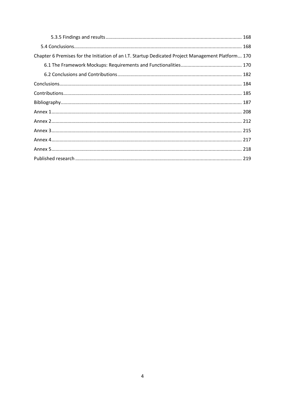| Chapter 6 Premises for the Initiation of an I.T. Startup Dedicated Project Management Platform 170 |  |
|----------------------------------------------------------------------------------------------------|--|
|                                                                                                    |  |
|                                                                                                    |  |
|                                                                                                    |  |
|                                                                                                    |  |
|                                                                                                    |  |
|                                                                                                    |  |
|                                                                                                    |  |
|                                                                                                    |  |
|                                                                                                    |  |
|                                                                                                    |  |
|                                                                                                    |  |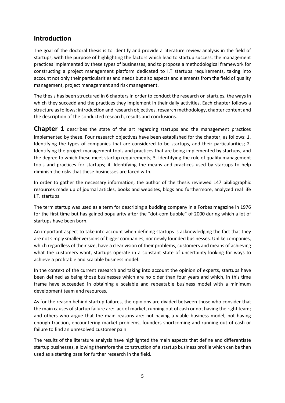#### **Introduction**

The goal of the doctoral thesis is to identify and provide a literature review analysis in the field of startups, with the purpose of highlighting the factors which lead to startup success, the management practices implemented by these types of businesses, and to propose a methodological framework for constructing a project management platform dedicated to I.T startups requirements, taking into account not only their particularities and needs but also aspects and elements from the field of quality management, project management and risk management.

The thesis has been structured in 6 chapters in order to conduct the research on startups, the ways in which they succedd and the practices they implement in their daily activities. Each chapter follows a structure as follows: introduction and research objectives, research methodology, chapter content and the description of the conducted research, results and conclusions.

**Chapter 1** describes the state of the art regarding startups and the management practices implemented by these. Four research objectives have been established for the chapter, as follows: 1. Identifying the types of companies that are considered to be startups, and their particularities; 2. Identifying the project management tools and practices that are being implemented by startups, and the degree to which these meet startup requirements; 3. Identifying the role of quality management tools and practices for startups; 4. Identifying the means and practices used by startups to help diminish the risks that these businesses are faced with.

In order to gather the necessary information, the author of the thesis reviewed 147 bibliographic resources made up of journal articles, books and websites, blogs and furthermore, analyzed real life I.T. startups.

The term startup was used as a term for describing a budding company in a Forbes magazine in 1976 for the first time but has gained popularity after the "dot-com bubble" of 2000 during which a lot of startups have been born.

An important aspect to take into account when defining startups is acknowledging the fact that they are not simply smaller versions of bigger companies, nor newly founded businesses. Unlike companies, which regardless of their size, have a clear vision of their problems, customers and means of achieving what the customers want, startups operate in a constant state of uncertainty looking for ways to achieve a profitable and scalable business model.

In the context of the current research and taking into account the opinion of experts, startups have been defined as being those businesses which are no older than four years and which, in this time frame have succeeded in obtaining a scalable and repeatable business model with a minimum development team and resources.

As for the reason behind startup failures, the opinions are divided between those who consider that the main causes of startup failure are: lack of market, running out of cash or not having the right team; and others who argue that the main reasons are: not having a viable business model, not having enough traction, encountering market problems, founders shortcoming and running out of cash or failure to find an unresolved customer pain

The results of the literature analysis have highlighted the main aspects that define and differentiate startup businesses, allowing therefore the construction of a startup business profile which can be then used as a starting base for further research in the field.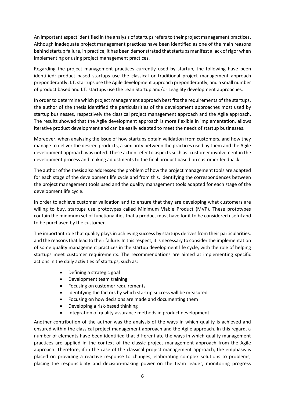An important aspect identified in the analysis of startups refers to their project management practices. Although inadequate project management practices have been identified as one of the main reasons behind startup failure, in practice, it has been demonstrated that startups manifest a lack of rigor when implementing or using project management practices.

Regarding the project management practices currently used by startup, the following have been identified: product based startups use the classical or traditional project management approach preponderantly; I.T. startups use the Agile development approach preponderantly; and a small number of product based and I.T. startups use the Lean Startup and/or Leagility development approaches.

In order to determine which project management approach best fits the requirements of the startups, the author of the thesis identified the particularities of the development approaches most used by startup businesses, respectively the classical project management approach and the Agile approach. The results showed that the Agile development approach is more flexible in implementation, allows iterative product development and can be easily adapted to meet the needs of startup businesses.

Moreover, when analyzing the issue of how startups obtain validation from customers, and how they manage to deliver the desired products, a similarity between the practices used by them and the Agile development approach was noted. These action refer to aspects such as: customer involvement in the development process and making adjustments to the final product based on customer feedback.

The author of the thesis also addressed the problem of how the project management tools are adapted for each stage of the development life cycle and from this, identifying the correspondences between the project management tools used and the quality management tools adapted for each stage of the development life cycle.

In order to achieve customer validation and to ensure that they are developing what customers are willing to buy, startups use prototypes called Minimum Viable Product (MVP). These prototypes contain the minimum set of functionalities that a product must have for it to be considered useful and to be purchased by the customer.

The important role that quality plays in achieving success by startups derives from their particularities, and the reasons that lead to their failure. In this respect, it is necessary to consider the implementation of some quality management practices in the startup development life cycle, with the role of helping startups meet customer requirements. The recommendations are aimed at implementing specific actions in the daily activities of startups, such as:

- Defining a strategic goal
- Development team training
- Focusing on customer requirements
- Identifying the factors by which startup success will be measured
- Focusing on how decisions are made and documenting them
- Developing a risk-based thinking
- Integration of quality assurance methods in product development

Another contribution of the author was the analysis of the ways in which quality is achieved and ensured within the classical project management approach and the Agile approach. In this regard, a number of elements have been identified that differentiate the ways in which quality management practices are applied in the context of the classic project management approach from the Agile approach. Therefore, if in the case of the classical project management approach, the emphasis is placed on providing a reactive response to changes, elaborating complex solutions to problems, placing the responsibility and decision-making power on the team leader, monitoring progress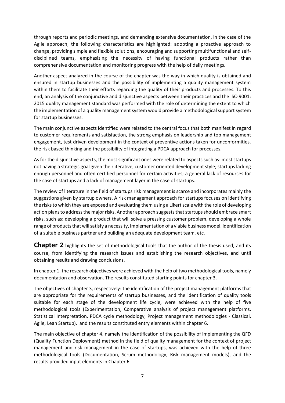through reports and periodic meetings, and demanding extensive documentation, in the case of the Agile approach, the following characteristics are highlighted: adopting a proactive approach to change, providing simple and flexible solutions, encouraging and supporting multifunctional and selfdisciplined teams, emphasizing the necessity of having functional products rather than comprehensive documentation and monitoring progress with the help of daily meetings.

Another aspect analyzed in the course of the chapter was the way in which quality is obtained and ensured in startup businesses and the possibility of implementing a quality management system within them to facilitate their efforts regarding the quality of their products and processes. To this end, an analysis of the conjunctive and disjunctive aspects between their practices and the ISO 9001: 2015 quality management standard was performed with the role of determining the extent to which the implementation of a quality management system would provide a methodological support system for startup businesses.

The main conjunctive aspects identified were related to the central focus that both manifest in regard to customer requirements and satisfaction, the strong emphasis on leadership and top management engagement, test driven development in the context of preventive actions taken for unconformities, the risk based thinking and the possibility of integrating a PDCA approach for processes.

As for the disjunctive aspects, the most significant ones were related to aspects such as: most startups not having a strategic goal given their iterative, customer oriented development style; startups lacking enough personnel and often certified personnel for certain activities; a general lack of resources for the case of startups and a lack of management layer in the case of startups.

The review of literature in the field of startups risk management is scarce and incorporates mainly the suggestions given by startup owners. A risk management approach for startups focuses on identifying the risks to which they are exposed and evaluating them using a Likert scale with the role of developing action plans to address the major risks. Another approach suggests that startups should embrace smart risks, such as: developing a product that will solve a pressing customer problem, developing a whole range of products that will satisfy a necessity, implementation of a viable business model, identification of a suitable business partner and building an adequate development team, etc.

**Chapter 2** highlights the set of methodological tools that the author of the thesis used, and its course, from identifying the research issues and establishing the research objectives, and until obtaining results and drawing conclusions.

In chapter 1, the research objectives were achieved with the help of two methodological tools, namely documentation and observation. The results constituted starting points for chapter 3.

The objectives of chapter 3, respectively: the identification of the project management platforms that are appropriate for the requirements of startup businesses, and the identification of quality tools suitable for each stage of the development life cycle, were achieved with the help of five methodological tools (Experimentation, Comparative analysis of project management platforms, Statistical Interpretation, PDCA cycle methodology, Project management methodologies - Classical, Agile, Lean Startup), and the results constituted entry elements within chapter 6.

The main objective of chapter 4, namely the identification of the possibility of implementing the QFD (Quality Function Deployment) method in the field of quality management for the context of project management and risk management in the case of startups, was achieved with the help of three methodological tools (Documentation, Scrum methodology, Risk management models), and the results provided input elements in Chapter 6.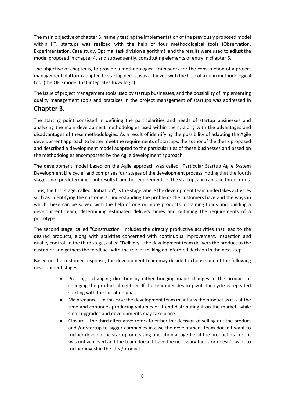The main objective of chapter 5, namely testing the implementation of the previously proposed model within I.T. startups was realized with the help of four methodological tools (Observation, Experimentation, Case study, Optimal task division algorithm), and the results were used to adjust the model proposed in chapter 4, and subsequently, constituting elements of entry in chapter 6.

The objective of chapter 6, to provide a methodological framework for the construction of a project management platform adapted to startup needs, was achieved with the help of a main methodological tool (the QFD model that integrates fuzzy logic).

The issue of project management tools used by startup businesses, and the possibility of implementing quality management tools and practices in the project management of startups was addressed in

#### **Chapter 3**.

The starting point consisted in defining the particularities and needs of startup businesses and analyzing the main development methodologies used within them, along with the advantages and disadvantages of these methodologies. As a result of identifying the possibility of adapting the Agile development approach to better meet the requirements of startups, the author of the thesis proposed and described a development model adapted to the particularities of these businesses and based on the methodologies encompassed by the Agile development approach.

The development model based on the Agile approach was called "Particular Startup Agile System Development Life cycle" and comprises four stages of the development process, noting that the fourth stage is not predetermined but results from the requirements of the startup, and can take three forms.

Thus, the first stage, called "Initiation", is the stage where the development team undertakes activities such as: identifying the customers, understanding the problems the customers have and the ways in which these can be solved with the help of one or more products; obtaining funds and building a development team; determining estimated delivery times and outlining the requirements of a prototype.

The second stage, called "Construction" includes the directly productive activities that lead to the desired products, along with activities concerned with continuous improvement, inspection and quality control. In the third stage, called "Delivery", the development team delivers the product to the customer and gathers the feedback with the role of making an informed decision in the next step.

Based on the customer response, the development team may decide to choose one of the following development stages:

- Pivoting changing direction by either bringing major changes to the product or changing the product altogether. If the team decides to pivot, the cycle is repeated starting with the Initiation phase.
- Maintenance in this case the development team maintains the product as it is at the time and continues producing volumes of it and distributing it on the market, while small upgrades and developments may take place.
- Closure the third alternative refers to either the decision of selling out the product and /or startup to bigger companies in case the development team doesn't want to further develop the startup or ceasing operation altogether if the product market fit was not achieved and the team doesn't have the necessary funds or doesn't want to further invest in the idea/product.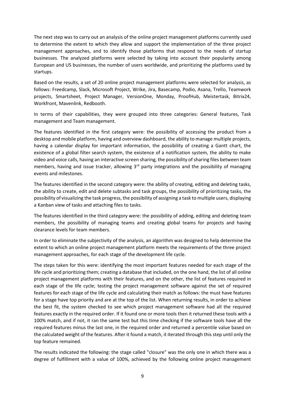The next step was to carry out an analysis of the online project management platforms currently used to determine the extent to which they allow and support the implementation of the three project management approaches, and to identify those platforms that respond to the needs of startup businesses. The analyzed platforms were selected by taking into account their popularity among European and US businesses, the number of users worldwide, and prioritizing the platforms used by startups.

Based on the results, a set of 20 online project management platforms were selected for analysis, as follows: Freedcamp, Slack, Microsoft Project, Wrike, Jira, Basecamp, Podio, Asana, Trello, Teamwork projects, Smartsheet, Project Manager, VersionOne, Monday, ProofHub, Meistertask, Bitrix24, Workfront, Mavenlink, Redbooth.

In terms of their capabilities, they were grouped into three categories: General features, Task management and Team management.

The features identified in the first category were: the possibility of accessing the product from a desktop and mobile platform, having and overview dashboard, the ability to manage multiple projects, having a calendar display for important information, the possibility of creating a Gantt chart, the existence of a global filter search system, the existence of a notification system, the ability to make video and voice calls, having an interactive screen sharing, the possibility of sharing files between team members, having and issue tracker, allowing 3<sup>rd</sup> party integrations and the possibility of managing events and milestones.

The features identified in the second category were: the ability of creating, editing and deleting tasks, the ability to create, edit and delete subtasks and task groups, the possibility of prioritizing tasks, the possibility of visualizing the task progress, the possibility of assigning a task to multiple users, displaying a Kanban view of tasks and attaching files to tasks.

The features identified in the third category were: the possibility of adding, editing and deleting team members, the possibility of managing teams and creating global teams for projects and having clearance levels for team members.

In order to eliminate the subjectivity of the analysis, an algorithm was designed to help determine the extent to which an online project management platform meets the requirements of the three project management approaches, for each stage of the development life cycle.

The steps taken for this were: identifying the most important features needed for each stage of the life cycle and prioritizing them; creating a database that included, on the one hand, the list of all online project management platforms with their features, and on the other, the list of features required in each stage of the life cycle; testing the project management software against the set of required features for each stage of the life cycle and calculating their match as follows: the must have features for a stage have top priority and are at the top of the list. When returning results, in order to achieve the best fit, the system checked to see which project management software had all the required features exactly in the required order. If it found one or more tools then it returned these tools with a 100% match, and if not, it ran the same test but this time checking if the software tools have all the required features minus the last one, in the required order and returned a percentile value based on the calculated weight of the features. After it found a match, it iterated through this step until only the top feature remained.

The results indicated the following: the stage called "closure" was the only one in which there was a degree of fulfillment with a value of 100%, achieved by the following online project management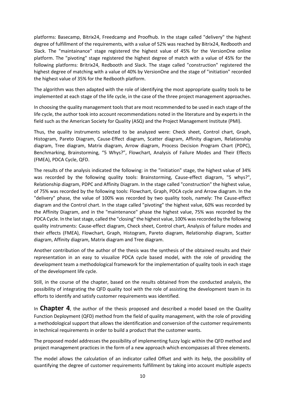platforms: Basecamp, Bitrix24, Freedcamp and Proofhub. In the stage called "delivery" the highest degree of fulfillment of the requirements, with a value of 52% was reached by Bitrix24, Redbooth and Slack. The "maintainance" stage registered the highest value of 45% for the VersionOne online platform. The "pivoting" stage registered the highest degree of match with a value of 45% for the following platforms: Britrix24, Redbooth and Slack. The stage called "construction" registered the highest degree of matching with a value of 40% by VersionOne and the stage of "initiation" recorded the highest value of 35% for the Redbooth platform.

The algorithm was then adapted with the role of identifying the most appropriate quality tools to be implemented at each stage of the life cycle, in the case of the three project management approaches.

In choosing the quality management tools that are most recommended to be used in each stage of the life cycle, the author took into account recommendations noted in the literature and by experts in the field such as the American Society for Quality (ASQ) and the Project Management Institute (PMI).

Thus, the quality instruments selected to be analyzed were: Check sheet, Control chart, Graph, Histogram, Pareto Diagram, Cause-Effect diagram, Scatter diagram, Affinity diagram, Relationship diagram, Tree diagram, Matrix diagram, Arrow diagram, Process Decision Program Chart (PDPC), Benchmarking, Brainstorming, "5 Whys?", Flowchart, Analysis of Failure Modes and Their Effects (FMEA), PDCA Cycle, QFD.

The results of the analysis indicated the following: in the "initiation" stage, the highest value of 34% was recorded by the following quality tools: Brainstorming, Cause-effect diagram, "5 whys?", Relationship diagram, PDPC and Affinity Diagram. In the stage called "construction" the highest value, of 75% was recorded by the following tools: Flowchart, Graph, PDCA cycle and Arrow diagram. In the "delivery" phase, the value of 100% was recorded by two quality tools, namely: The Cause-effect diagram and the Control chart. In the stage called "pivoting" the highest value, 60% was recorded by the Affinity Diagram, and in the "maintenance" phase the highest value, 75% was recorded by the PDCA Cycle. In the last stage, called the "closing" the highest value, 100% was recorded by the following quality instruments: Cause-effect diagram, Check sheet, Control chart, Analysis of failure modes and their effects (FMEA), Flowchart, Graph, Histogram, Pareto diagram, Relationship diagram, Scatter diagram, Affinity diagram, Matrix diagram and Tree diagram.

Another contribution of the author of the thesis was the synthesis of the obtained results and their representation in an easy to visualize PDCA cycle based model, with the role of providing the development team a methodological framework for the implementation of quality tools in each stage of the development life cycle.

Still, in the course of the chapter, based on the results obtained from the conducted analysis, the possibility of integrating the QFD quality tool with the role of assisting the development team in its efforts to identify and satisfy customer requirements was identified.

In **Chapter 4**, the author of the thesis proposed and described a model based on the Quality Function Deployment (QFD) method from the field of quality management, with the role of providing a methodological support that allows the identification and conversion of the customer requirements in technical requirements in order to build a product that the customer wants.

The proposed model addresses the possibility of implementing fuzzy logic within the QFD method and project management practices in the form of a new approach which encompasses all three elements.

The model allows the calculation of an indicator called Offset and with its help, the possibility of quantifying the degree of customer requirements fulfillment by taking into account multiple aspects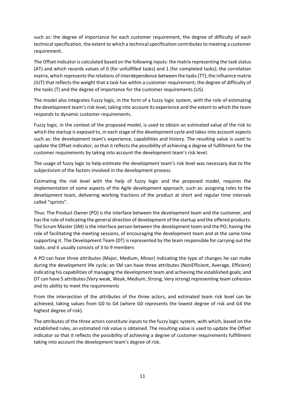such as: the degree of importance for each customer requirement, the degree of difficulty of each technical specification, the extent to which a technical specification contributes to meeting a customer requirement.

The Offset indicator is calculated based on the following inputs: the matrix representing the task status (AT) and which records values of 0 (for unfulfilled tasks) and 1 (for completed tasks); the correlation matrix, which represents the relations of interdependence between the tasks (TT); the influence matrix (IUT) that reflects the weight that a task has within a customer requirement; the degree of difficulty of the tasks (T) and the degree of importance for the customer requirements (US).

The model also integrates Fuzzy logic, in the form of a fuzzy logic system, with the role of estimating the development team's risk level, taking into account its experience and the extent to which the team responds to dynamic customer requirements.

Fuzzy logic, in the context of the proposed model, is used to obtain an estimated value of the risk to which the startup is exposed to, in each stage of the development cycle and takes into account aspects such as: the development team's experience, capabilities and history. The resulting value is used to update the Offset indicator, so that it reflects the possibility of achieving a degree of fulfillment for the customer requirements by taking into account the development team's risk level.

The usage of fuzzy logic to help estimate the development team's risk level was necessary due to the subjectivism of the factors involved in the development process.

Estimating the risk level with the help of fuzzy logic and the proposed model, requires the implementation of some aspects of the Agile development approach, such as: assigning roles to the development team, delivering working fractions of the product at short and regular time intervals called "sprints".

Thus: The Product Owner (PO) is the interface between the development team and the customer, and has the role of indicating the general direction of development of the startup and the offered products. The Scrum Master (SM) is the interface person between the development team and the PO, having the role of facilitating the meeting sessions, of encouraging the development team and at the same time supporting it. The Development Team (DT) is represented by the team responsible for carrying out the tasks, and it usually consists of 3 to 9 members

A PO can have three attributes (Major, Medium, Minor) indicating the type of changes he can make during the development life cycle; an SM can have three attributes (NonEfficient, Average, Efficient) indicating his capabilities of managing the development team and achieving the established goals; and DT can have 5 attributes (Very weak, Weak, Medium, Strong, Very strong) representing team cohesion and its ability to meet the requirements

From the intersection of the attributes of the three actors, and estimated team risk level can be achieved, taking values from G0 to G4 (where G0 represents the lowest degree of risk and G4 the highest degree of risk).

The attributes of the three actors constitute inputs to the fuzzy logic system, with which, based on the established rules, an estimated risk value is obtained. The resulting value is used to update the Offset indicator so that it reflects the possibility of achieving a degree of customer requirements fulfillment taking into account the development team's degree of risk.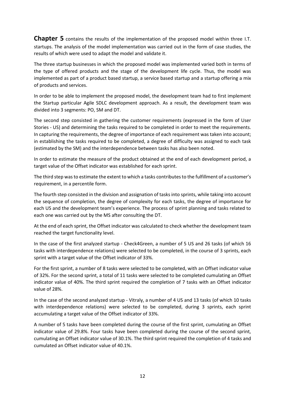**Chapter 5** contains the results of the implementation of the proposed model within three I.T. startups. The analysis of the model implementation was carried out in the form of case studies, the results of which were used to adapt the model and validate it.

The three startup businesses in which the proposed model was implemented varied both in terms of the type of offered products and the stage of the development life cycle. Thus, the model was implemented as part of a product based startup, a service based startup and a startup offering a mix of products and services.

In order to be able to implement the proposed model, the development team had to first implement the Startup particular Agile SDLC development approach. As a result, the development team was divided into 3 segments: PO, SM and DT.

The second step consisted in gathering the customer requirements (expressed in the form of User Stories - US) and determining the tasks required to be completed in order to meet the requirements. In capturing the requirements, the degree of importance of each requirement was taken into account; in establishing the tasks required to be completed, a degree of difficulty was assigned to each task (estimated by the SM) and the interdependence between tasks has also been noted.

In order to estimate the measure of the product obtained at the end of each development period, a target value of the Offset indicator was established for each sprint.

The third step was to estimate the extent to which a tasks contributes to the fulfillment of a customer's requirement, in a percentile form.

The fourth step consisted in the division and assignation of tasks into sprints, while taking into account the sequence of completion, the degree of complexity for each tasks, the degree of importance for each US and the development team's experience. The process of sprint planning and tasks related to each one was carried out by the MS after consulting the DT.

At the end of each sprint, the Offset indicator was calculated to check whether the development team reached the target functionality level.

In the case of the first analyzed startup - Check4Green, a number of 5 US and 26 tasks (of which 16 tasks with interdependence relations) were selected to be completed, in the course of 3 sprints, each sprint with a target value of the Offset indicator of 33%.

For the first sprint, a number of 8 tasks were selected to be completed, with an Offset indicator value of 32%. For the second sprint, a total of 11 tasks were selected to be completed cumulating an Offset indicator value of 40%. The third sprint required the completion of 7 tasks with an Offset indicator value of 28%.

In the case of the second analyzed startup - Vitraly, a number of 4 US and 13 tasks (of which 10 tasks with interdependence relations) were selected to be completed, during 3 sprints, each sprint accumulating a target value of the Offset indicator of 33%.

A number of 5 tasks have been completed during the course of the first sprint, cumulating an Offset indicator value of 29.8%. Four tasks have been completed during the course of the second sprint, cumulating an Offset indicator value of 30.1%. The third sprint required the completion of 4 tasks and cumulated an Offset indicator value of 40.1%.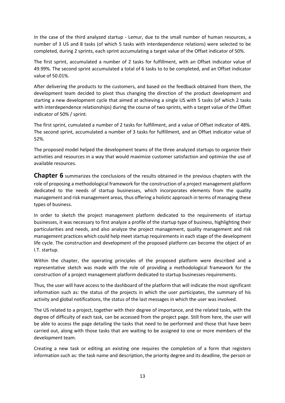In the case of the third analyzed startup - Lemur, due to the small number of human resources, a number of 3 US and 8 tasks (of which 5 tasks with interdependence relations) were selected to be completed, during 2 sprints, each sprint accumulating a target value of the Offset indicator of 50%.

The first sprint, accumulated a number of 2 tasks for fulfillment, with an Offset indicator value of 49.99%. The second sprint accumulated a total of 6 tasks to to be completed, and an Offset indicator value of 50.01%.

After delivering the products to the customers, and based on the feedback obtained from them, the development team decided to pivot thus changing the direction of the product development and starting a new development cycle that aimed at achieving a single US with 5 tasks (of which 2 tasks with interdependence relationships) during the course of two sprints, with a target value of the Offset indicator of 50% / sprint.

The first sprint, cumulated a number of 2 tasks for fulfillment, and a value of Offset indicator of 48%. The second sprint, accumulated a number of 3 tasks for fulfillment, and an Offset indicator value of 52%.

The proposed model helped the development teams of the three analyzed startups to organize their activities and resources in a way that would maximize customer satisfaction and optimize the use of available resources.

**Chapter 6** summarizes the conclusions of the results obtained in the previous chapters with the role of proposing a methodological framework for the construction of a project management platform dedicated to the needs of startup businesses, which incorporates elements from the quality management and risk management areas, thus offering a holistic approach in terms of managing these types of business.

In order to sketch the project management platform dedicated to the requirements of startup businesses, it was necessary to first analyze a profile of the startup type of business, highlighting their particularities and needs, and also analyze the project management, quality management and risk management practices which could help meet startup requirements in each stage of the development life cycle. The construction and development of the proposed platform can become the object of an I.T. startup.

Within the chapter, the operating principles of the proposed platform were described and a representative sketch was made with the role of providing a methodological framework for the construction of a project management platform dedicated to startup businesses requirements.

Thus, the user will have access to the dashboard of the platform that will indicate the most significant information such as: the status of the projects in which the user participates, the summary of his activity and global notifications, the status of the last messages in which the user was involved.

The US related to a project, together with their degree of importance, and the related tasks, with the degree of difficulty of each task, can be accessed from the project page. Still from here, the user will be able to access the page detailing the tasks that need to be performed and those that have been carried out, along with those tasks that are waiting to be assigned to one or more members of the development team.

Creating a new task or editing an existing one requires the completion of a form that registers information such as: the task name and description, the priority degree and its deadline, the person or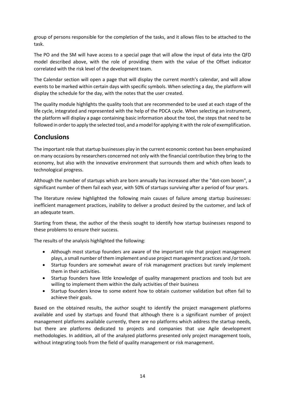group of persons responsible for the completion of the tasks, and it allows files to be attached to the task.

The PO and the SM will have access to a special page that will allow the input of data into the QFD model described above, with the role of providing them with the value of the Offset indicator correlated with the risk level of the development team.

The Calendar section will open a page that will display the current month's calendar, and will allow events to be marked within certain days with specific symbols. When selecting a day, the platform will display the schedule for the day, with the notes that the user created.

The quality module highlights the quality tools that are recommended to be used at each stage of the life cycle, integrated and represented with the help of the PDCA cycle. When selecting an instrument, the platform will display a page containing basic information about the tool, the steps that need to be followed in order to apply the selected tool, and a model for applying it with the role of exemplification.

#### **Conclusions**

The important role that startup businesses play in the current economic context has been emphasized on many occasions by researchers concerned not only with the financial contribution they bring to the economy, but also with the innovative environment that surrounds them and which often leads to technological progress.

Although the number of startups which are born annually has increased after the "dot-com boom", a significant number of them fail each year, with 50% of startups surviving after a period of four years.

The literature review highlighted the following main causes of failure among startup businesses: inefficient management practices, inability to deliver a product desired by the customer, and lack of an adequate team.

Starting from these, the author of the thesis sought to identify how startup businesses respond to these problems to ensure their success.

The results of the analysis highlighted the following:

- Although most startup founders are aware of the important role that project management plays, a small number of them implement and use project management practices and /or tools.
- Startup founders are somewhat aware of risk management practices but rarely implement them in their activities.
- Startup founders have little knowledge of quality management practices and tools but are willing to implement them within the daily activities of their business
- Startup founders know to some extent how to obtain customer validation but often fail to achieve their goals.

Based on the obtained results, the author sought to identify the project management platforms available and used by startups and found that although there is a significant number of project management platforms available currently, there are no platforms which address the startup needs, but there are platforms dedicated to projects and companies that use Agile development methodologies. In addition, all of the analyzed platforms presented only project management tools, without integrating tools from the field of quality management or risk management.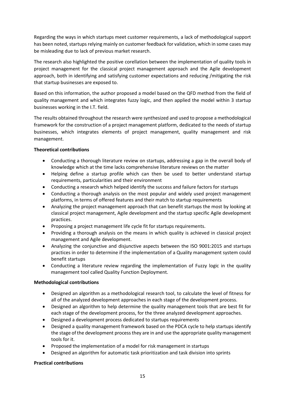Regarding the ways in which startups meet customer requirements, a lack of methodological support has been noted, startups relying mainly on customer feedback for validation, which in some cases may be misleading due to lack of previous market research.

The research also highlighted the positive corellation between the implementation of quality tools in project management for the classical project management approach and the Agile development approach, both in identifying and satisfying customer expectations and reducing /mitigating the risk that startup businesses are exposed to.

Based on this information, the author proposed a model based on the QFD method from the field of quality management and which integrates fuzzy logic, and then applied the model within 3 startup businesses working in the I.T. field.

The results obtained throughout the research were synthesized and used to propose a methodological framework for the construction of a project management platform, dedicated to the needs of startup businesses, which integrates elements of project management, quality management and risk management.

#### **Theoretical contributions**

- Conducting a thorough literature review on startups, addressing a gap in the overall body of knowledge which at the time lacks comprehensive literature reviews on the matter
- Helping define a startup profile which can then be used to better understand startup requirements, particularities and their environment
- Conducting a research which helped identify the success and failure factors for startups
- Conducting a thorough analysis on the most popular and widely used project management platforms, in terms of offered features and their match to startup requirements
- Analyzing the project management approach that can benefit startups the most by looking at classical project management, Agile development and the startup specific Agile development practices.
- Proposing a project management life cycle fit for startups requirements.
- Providing a thorough analysis on the means in which quality is achieved in classical project management and Agile development.
- Analyzing the conjunctive and disjunctive aspects between the ISO 9001:2015 and startups practices in order to determine if the implementation of a Quality management system could benefit startups
- Conducting a literature review regarding the implementation of Fuzzy logic in the quality management tool called Quality Function Deployment.

#### **Methodological contributions**

- Designed an algorithm as a methodological research tool, to calculate the level of fitness for all of the analyzed development approaches in each stage of the development process.
- Designed an algorithm to help determine the quality management tools that are best fit for each stage of the development process, for the three analyzed development approaches.
- Designed a development process dedicated to startups requirements
- Designed a quality management framework based on the PDCA cycle to help startups identify the stage of the development process they are in and use the appropriate quality management tools for it.
- Proposed the implementation of a model for risk management in startups
- Designed an algorithm for automatic task prioritization and task division into sprints

#### **Practical contributions**